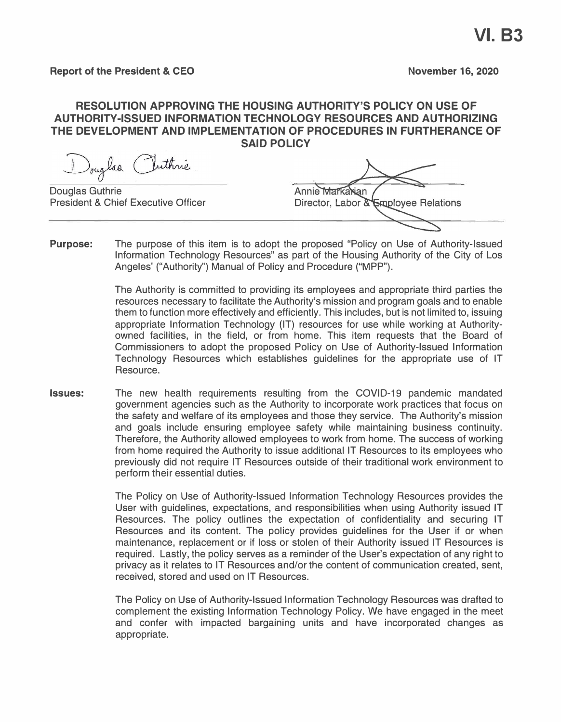#### **RESOLUTION APPROVING THE HOUSING AUTHORITY'S POLICY ON USE OF AUTHORITY-ISSUED INFORMATION TECHNOLOGY RESOURCES AND AUTHORIZING THE DEVELOPMENT AND IMPLEMENTATION OF PROCEDURES IN FURTHERANCE OF SAID POLICY**

Douglas Puthnie Douglas Guthrie Annie Markarian President & Chief Executive Officer Director, Labor & Employee Relations

**Purpose:**  The purpose of this item is to adopt the proposed "Policy on Use of Authority-Issued Information Technology Resources" as part of the Housing Authority of the City of Los Angeles' ("Authority"} Manual of Policy and Procedure ("MPP"}.

> The Authority is committed to providing its employees and appropriate third parties the resources necessary to facilitate the Authority's mission and program goals and to enable them to function more effectively and efficiently. This includes, but is not limited to, issuing appropriate Information Technology {IT} resources for use while working at Authorityowned facilities, in the field, or from home. This item requests that the Board of Commissioners to adopt the proposed Policy on Use of Authority-Issued Information Technology Resources which establishes guidelines for the appropriate use of IT Resource.

**Issues:**  The new health requirements resulting from the COVID-19 pandemic mandated government agencies such as the Authority to incorporate work practices that focus on the safety and welfare of its employees and those they service. The Authority's mission and goals include ensuring employee safety while maintaining business continuity. Therefore, the Authority allowed employees to work from home. The success of working from home required the Authority to issue additional IT Resources to its employees who previously did not require IT Resources outside of their traditional work environment to perform their essential duties.

> The Policy on Use of Authority-Issued Information Technology Resources provides the User with guidelines, expectations, and responsibilities when using Authority issued IT Resources. The policy outlines the expectation of confidentiality and securing IT Resources and its content. The policy provides guidelines for the User if or when maintenance, replacement or if loss or stolen of their Authority issued IT Resources is required. Lastly, the policy serves as a reminder of the User's expectation of any right to privacy as it relates to IT Resources and/or the content of communication created, sent, received, stored and used on IT Resources.

> The Policy on Use of Authority-Issued Information Technology Resources was drafted to complement the existing Information Technology Policy. We have engaged in the meet and confer with impacted bargaining units and have incorporated changes as appropriate.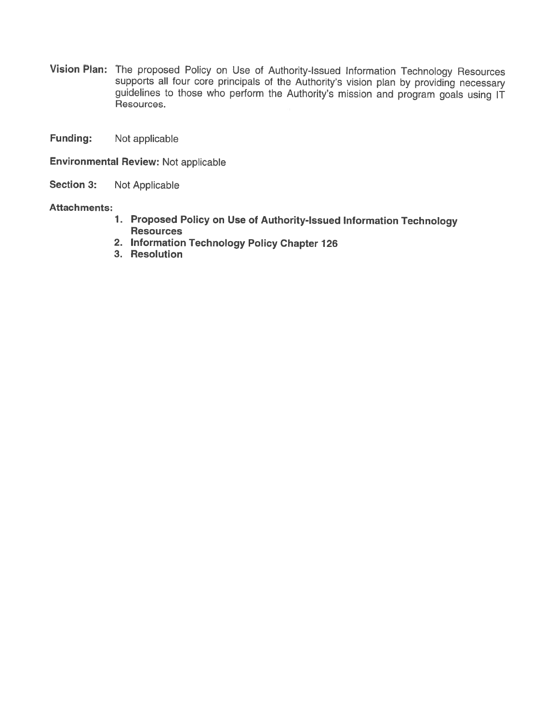- Vision Plan: The proposed Policy on Use of Authority-Issued Information Technology Resources supports all four core principals of the Authority's vision plan by providing necessary guidelines to those who perform the Authority's mission and program goals using IT Resources.
- **Funding:** Not applicable

**Environmental Review: Not applicable** 

Section 3: Not Applicable

#### **Attachments:**

- 1. Proposed Policy on Use of Authority-Issued Information Technology **Resources**
- 2. Information Technology Policy Chapter 126
- 3. Resolution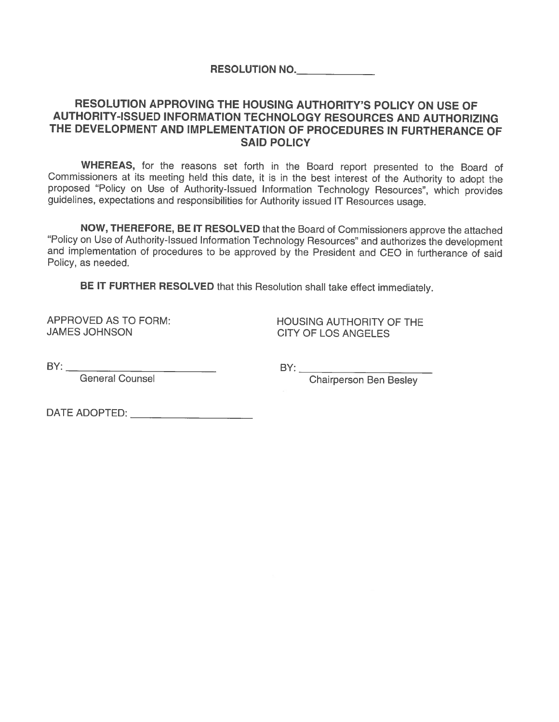**RESOLUTION NO.** 

## RESOLUTION APPROVING THE HOUSING AUTHORITY'S POLICY ON USE OF AUTHORITY-ISSUED INFORMATION TECHNOLOGY RESOURCES AND AUTHORIZING THE DEVELOPMENT AND IMPLEMENTATION OF PROCEDURES IN FURTHERANCE OF **SAID POLICY**

WHEREAS, for the reasons set forth in the Board report presented to the Board of Commissioners at its meeting held this date, it is in the best interest of the Authority to adopt the proposed "Policy on Use of Authority-Issued Information Technology Resources", which provides quidelines, expectations and responsibilities for Authority issued IT Resources usage.

NOW, THEREFORE, BE IT RESOLVED that the Board of Commissioners approve the attached "Policy on Use of Authority-Issued Information Technology Resources" and authorizes the development and implementation of procedures to be approved by the President and CEO in furtherance of said Policy, as needed.

BE IT FURTHER RESOLVED that this Resolution shall take effect immediately.

APPROVED AS TO FORM: **JAMES JOHNSON** 

**HOUSING AUTHORITY OF THE CITY OF LOS ANGELES** 

 $BY:$ 

General Counsel

Chairperson Ben Besley

DATE ADOPTED: \_\_\_\_\_\_\_\_\_\_\_\_\_\_\_\_\_\_\_\_\_\_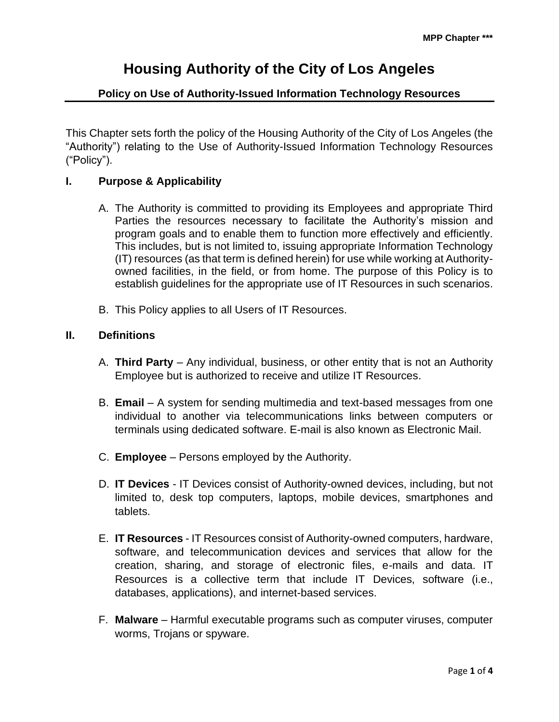## **Policy on Use of Authority-Issued Information Technology Resources**

This Chapter sets forth the policy of the Housing Authority of the City of Los Angeles (the "Authority") relating to the Use of Authority-Issued Information Technology Resources ("Policy").

#### **I. Purpose & Applicability**

- A. The Authority is committed to providing its Employees and appropriate Third Parties the resources necessary to facilitate the Authority's mission and program goals and to enable them to function more effectively and efficiently. This includes, but is not limited to, issuing appropriate Information Technology (IT) resources (as that term is defined herein) for use while working at Authorityowned facilities, in the field, or from home. The purpose of this Policy is to establish guidelines for the appropriate use of IT Resources in such scenarios.
- B. This Policy applies to all Users of IT Resources.

#### **II. Definitions**

- A. **Third Party**  Any individual, business, or other entity that is not an Authority Employee but is authorized to receive and utilize IT Resources.
- B. **Email** A system for sending multimedia and text-based messages from one individual to another via telecommunications links between computers or terminals using dedicated software. E-mail is also known as Electronic Mail.
- C. **Employee** Persons employed by the Authority.
- D. **IT Devices** IT Devices consist of Authority-owned devices, including, but not limited to, desk top computers, laptops, mobile devices, smartphones and tablets.
- E. **IT Resources** IT Resources consist of Authority-owned computers, hardware, software, and telecommunication devices and services that allow for the creation, sharing, and storage of electronic files, e-mails and data. IT Resources is a collective term that include IT Devices, software (i.e., databases, applications), and internet-based services.
- F. **Malware** Harmful executable programs such as computer viruses, computer worms, Trojans or spyware.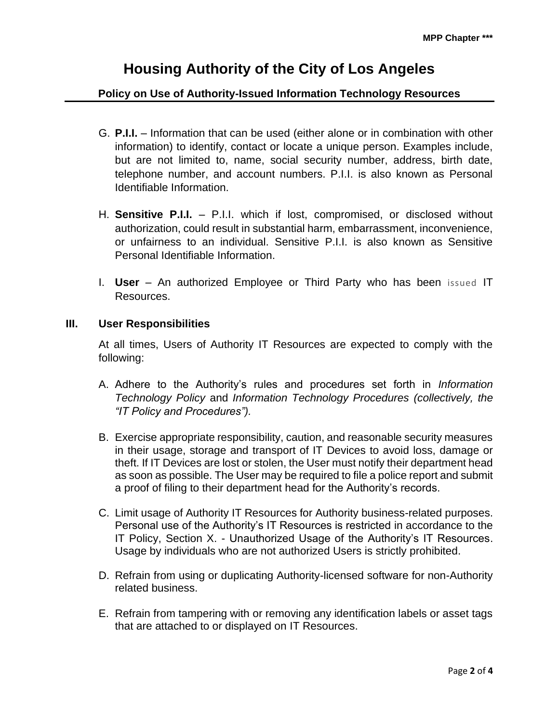## **Policy on Use of Authority-Issued Information Technology Resources**

- G. **P.I.I.** Information that can be used (either alone or in combination with other information) to identify, contact or locate a unique person. Examples include, but are not limited to, name, social security number, address, birth date, telephone number, and account numbers. P.I.I. is also known as Personal Identifiable Information.
- H. **Sensitive P.I.I.** P.I.I. which if lost, compromised, or disclosed without authorization, could result in substantial harm, embarrassment, inconvenience, or unfairness to an individual. Sensitive P.I.I. is also known as Sensitive Personal Identifiable Information.
- I. **User** An authorized Employee or Third Party who has been issued IT Resources.

#### **III. User Responsibilities**

At all times, Users of Authority IT Resources are expected to comply with the following:

- A. Adhere to the Authority's rules and procedures set forth in *Information Technology Policy* and *Information Technology Procedures (collectively, the "IT Policy and Procedures").*
- B. Exercise appropriate responsibility, caution, and reasonable security measures in their usage, storage and transport of IT Devices to avoid loss, damage or theft. If IT Devices are lost or stolen, the User must notify their department head as soon as possible. The User may be required to file a police report and submit a proof of filing to their department head for the Authority's records.
- C. Limit usage of Authority IT Resources for Authority business-related purposes. Personal use of the Authority's IT Resources is restricted in accordance to the IT Policy, Section X. - Unauthorized Usage of the Authority's IT Resources. Usage by individuals who are not authorized Users is strictly prohibited.
- D. Refrain from using or duplicating Authority-licensed software for non-Authority related business.
- E. Refrain from tampering with or removing any identification labels or asset tags that are attached to or displayed on IT Resources.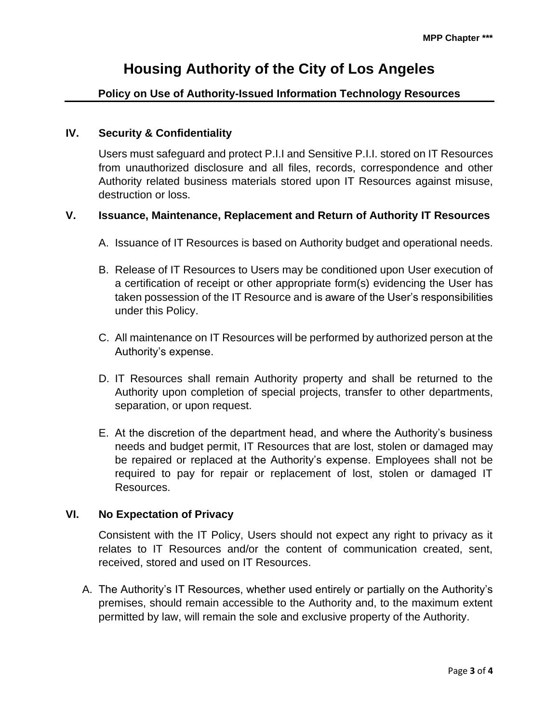## **Policy on Use of Authority-Issued Information Technology Resources**

#### **IV. Security & Confidentiality**

Users must safeguard and protect P.I.I and Sensitive P.I.I. stored on IT Resources from unauthorized disclosure and all files, records, correspondence and other Authority related business materials stored upon IT Resources against misuse, destruction or loss.

#### **V. Issuance, Maintenance, Replacement and Return of Authority IT Resources**

- A. Issuance of IT Resources is based on Authority budget and operational needs.
- B. Release of IT Resources to Users may be conditioned upon User execution of a certification of receipt or other appropriate form(s) evidencing the User has taken possession of the IT Resource and is aware of the User's responsibilities under this Policy.
- C. All maintenance on IT Resources will be performed by authorized person at the Authority's expense.
- D. IT Resources shall remain Authority property and shall be returned to the Authority upon completion of special projects, transfer to other departments, separation, or upon request.
- E. At the discretion of the department head, and where the Authority's business needs and budget permit, IT Resources that are lost, stolen or damaged may be repaired or replaced at the Authority's expense. Employees shall not be required to pay for repair or replacement of lost, stolen or damaged IT Resources.

#### **VI. No Expectation of Privacy**

Consistent with the IT Policy, Users should not expect any right to privacy as it relates to IT Resources and/or the content of communication created, sent, received, stored and used on IT Resources.

A. The Authority's IT Resources, whether used entirely or partially on the Authority's premises, should remain accessible to the Authority and, to the maximum extent permitted by law, will remain the sole and exclusive property of the Authority.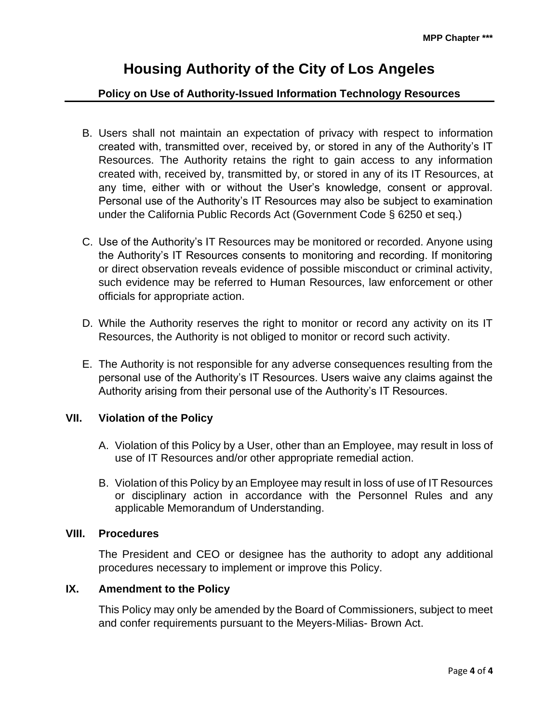## **Policy on Use of Authority-Issued Information Technology Resources**

- B. Users shall not maintain an expectation of privacy with respect to information created with, transmitted over, received by, or stored in any of the Authority's IT Resources. The Authority retains the right to gain access to any information created with, received by, transmitted by, or stored in any of its IT Resources, at any time, either with or without the User's knowledge, consent or approval. Personal use of the Authority's IT Resources may also be subject to examination under the California Public Records Act (Government Code § 6250 et seq.)
- C. Use of the Authority's IT Resources may be monitored or recorded. Anyone using the Authority's IT Resources consents to monitoring and recording. If monitoring or direct observation reveals evidence of possible misconduct or criminal activity, such evidence may be referred to Human Resources, law enforcement or other officials for appropriate action.
- D. While the Authority reserves the right to monitor or record any activity on its IT Resources, the Authority is not obliged to monitor or record such activity.
- E. The Authority is not responsible for any adverse consequences resulting from the personal use of the Authority's IT Resources. Users waive any claims against the Authority arising from their personal use of the Authority's IT Resources.

#### **VII. Violation of the Policy**

- A. Violation of this Policy by a User, other than an Employee, may result in loss of use of IT Resources and/or other appropriate remedial action.
- B. Violation of this Policy by an Employee may result in loss of use of IT Resources or disciplinary action in accordance with the Personnel Rules and any applicable Memorandum of Understanding.

#### **VIII. Procedures**

The President and CEO or designee has the authority to adopt any additional procedures necessary to implement or improve this Policy.

#### **IX. Amendment to the Policy**

This Policy may only be amended by the Board of Commissioners, subject to meet and confer requirements pursuant to the Meyers-Milias- Brown Act.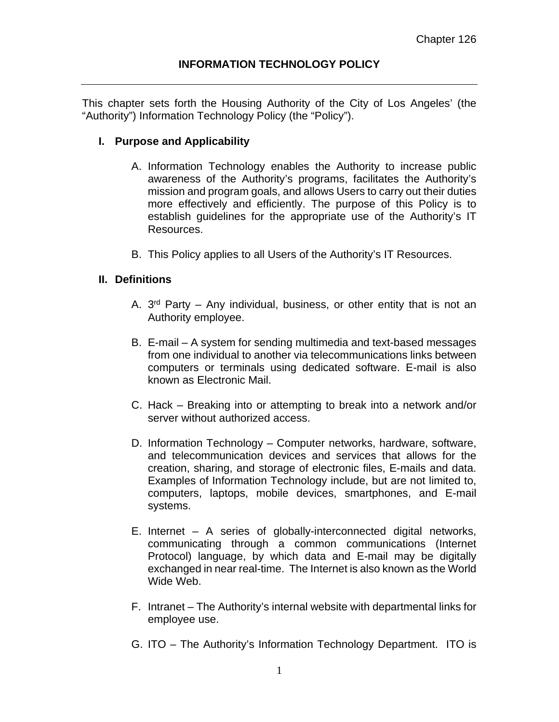This chapter sets forth the Housing Authority of the City of Los Angeles' (the "Authority") Information Technology Policy (the "Policy").

## **I. Purpose and Applicability**

- A. Information Technology enables the Authority to increase public awareness of the Authority's programs, facilitates the Authority's mission and program goals, and allows Users to carry out their duties more effectively and efficiently. The purpose of this Policy is to establish guidelines for the appropriate use of the Authority's IT Resources.
- B. This Policy applies to all Users of the Authority's IT Resources.

## **II. Definitions**

- A.  $3<sup>rd</sup>$  Party Any individual, business, or other entity that is not an Authority employee.
- B. E-mail A system for sending multimedia and text-based messages from one individual to another via telecommunications links between computers or terminals using dedicated software. E-mail is also known as Electronic Mail.
- C. Hack Breaking into or attempting to break into a network and/or server without authorized access.
- D. Information Technology Computer networks, hardware, software, and telecommunication devices and services that allows for the creation, sharing, and storage of electronic files, E-mails and data. Examples of Information Technology include, but are not limited to, computers, laptops, mobile devices, smartphones, and E-mail systems.
- E. Internet A series of globally-interconnected digital networks, communicating through a common communications (Internet Protocol) language, by which data and E-mail may be digitally exchanged in near real-time. The Internet is also known as the World Wide Web.
- F. Intranet The Authority's internal website with departmental links for employee use.
- G. ITO The Authority's Information Technology Department. ITO is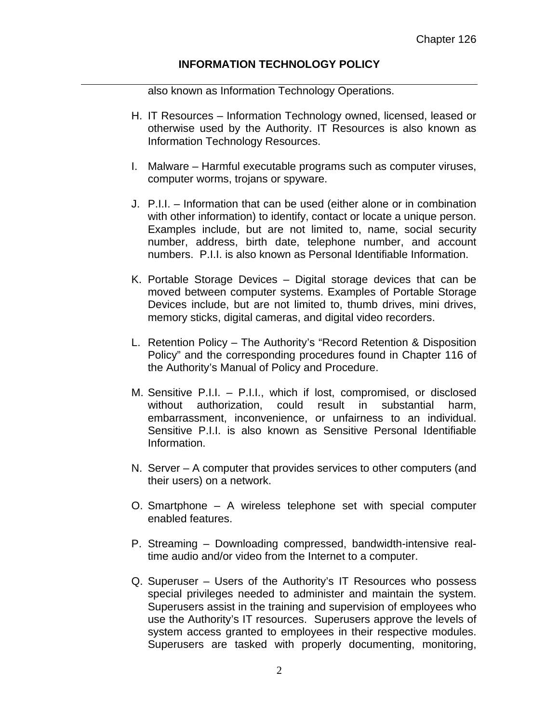also known as Information Technology Operations.

- H. IT Resources Information Technology owned, licensed, leased or otherwise used by the Authority. IT Resources is also known as Information Technology Resources.
- I. Malware Harmful executable programs such as computer viruses, computer worms, trojans or spyware.
- J. P.I.I. Information that can be used (either alone or in combination with other information) to identify, contact or locate a unique person. Examples include, but are not limited to, name, social security number, address, birth date, telephone number, and account numbers. P.I.I. is also known as Personal Identifiable Information.
- K. Portable Storage Devices Digital storage devices that can be moved between computer systems. Examples of Portable Storage Devices include, but are not limited to, thumb drives, mini drives, memory sticks, digital cameras, and digital video recorders.
- L. Retention Policy The Authority's "Record Retention & Disposition Policy" and the corresponding procedures found in Chapter 116 of the Authority's Manual of Policy and Procedure.
- M. Sensitive P.I.I. P.I.I., which if lost, compromised, or disclosed without authorization, could result in substantial harm, embarrassment, inconvenience, or unfairness to an individual. Sensitive P.I.I. is also known as Sensitive Personal Identifiable Information.
- N. Server A computer that provides services to other computers (and their users) on a network.
- O. Smartphone A wireless telephone set with special computer enabled features.
- P. Streaming Downloading compressed, bandwidth-intensive realtime audio and/or video from the Internet to a computer.
- Q. Superuser Users of the Authority's IT Resources who possess special privileges needed to administer and maintain the system. Superusers assist in the training and supervision of employees who use the Authority's IT resources. Superusers approve the levels of system access granted to employees in their respective modules. Superusers are tasked with properly documenting, monitoring,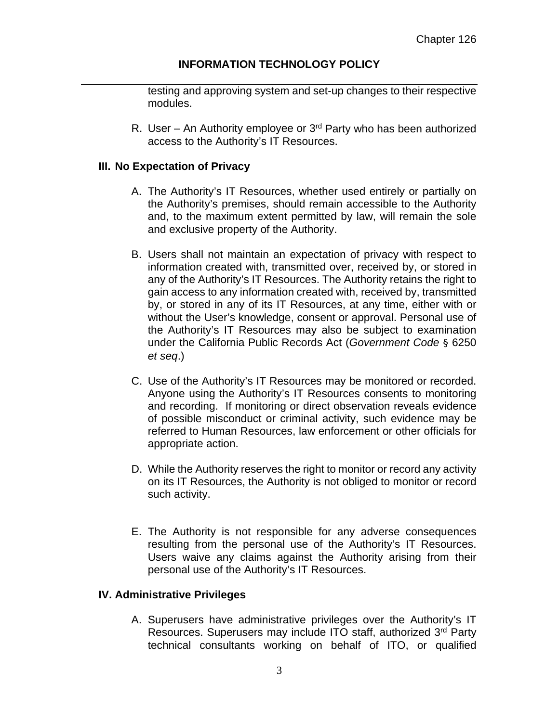testing and approving system and set-up changes to their respective modules.

R. User – An Authority employee or  $3<sup>rd</sup>$  Party who has been authorized access to the Authority's IT Resources.

#### **III. No Expectation of Privacy**

- A. The Authority's IT Resources, whether used entirely or partially on the Authority's premises, should remain accessible to the Authority and, to the maximum extent permitted by law, will remain the sole and exclusive property of the Authority.
- B. Users shall not maintain an expectation of privacy with respect to information created with, transmitted over, received by, or stored in any of the Authority's IT Resources. The Authority retains the right to gain access to any information created with, received by, transmitted by, or stored in any of its IT Resources, at any time, either with or without the User's knowledge, consent or approval. Personal use of the Authority's IT Resources may also be subject to examination under the California Public Records Act (*Government Code* § 6250 *et seq*.)
- C. Use of the Authority's IT Resources may be monitored or recorded. Anyone using the Authority's IT Resources consents to monitoring and recording. If monitoring or direct observation reveals evidence of possible misconduct or criminal activity, such evidence may be referred to Human Resources, law enforcement or other officials for appropriate action.
- D. While the Authority reserves the right to monitor or record any activity on its IT Resources, the Authority is not obliged to monitor or record such activity.
- E. The Authority is not responsible for any adverse consequences resulting from the personal use of the Authority's IT Resources. Users waive any claims against the Authority arising from their personal use of the Authority's IT Resources.

#### **IV. Administrative Privileges**

A. Superusers have administrative privileges over the Authority's IT Resources. Superusers may include ITO staff, authorized 3rd Party technical consultants working on behalf of ITO, or qualified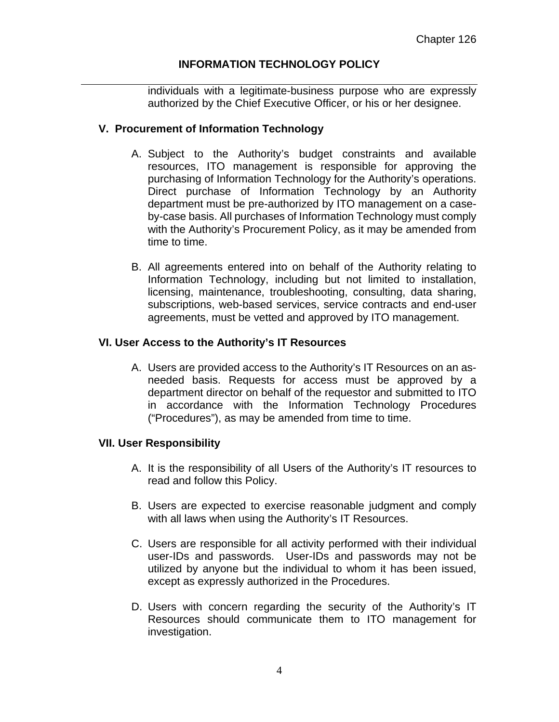individuals with a legitimate-business purpose who are expressly authorized by the Chief Executive Officer, or his or her designee.

#### **V. Procurement of Information Technology**

- A. Subject to the Authority's budget constraints and available resources, ITO management is responsible for approving the purchasing of Information Technology for the Authority's operations. Direct purchase of Information Technology by an Authority department must be pre-authorized by ITO management on a caseby-case basis. All purchases of Information Technology must comply with the Authority's Procurement Policy, as it may be amended from time to time.
- B. All agreements entered into on behalf of the Authority relating to Information Technology, including but not limited to installation, licensing, maintenance, troubleshooting, consulting, data sharing, subscriptions, web-based services, service contracts and end-user agreements, must be vetted and approved by ITO management.

#### **VI. User Access to the Authority's IT Resources**

A. Users are provided access to the Authority's IT Resources on an asneeded basis. Requests for access must be approved by a department director on behalf of the requestor and submitted to ITO in accordance with the Information Technology Procedures ("Procedures"), as may be amended from time to time.

#### **VII. User Responsibility**

- A. It is the responsibility of all Users of the Authority's IT resources to read and follow this Policy.
- B. Users are expected to exercise reasonable judgment and comply with all laws when using the Authority's IT Resources.
- C. Users are responsible for all activity performed with their individual user-IDs and passwords. User-IDs and passwords may not be utilized by anyone but the individual to whom it has been issued, except as expressly authorized in the Procedures.
- D. Users with concern regarding the security of the Authority's IT Resources should communicate them to ITO management for investigation.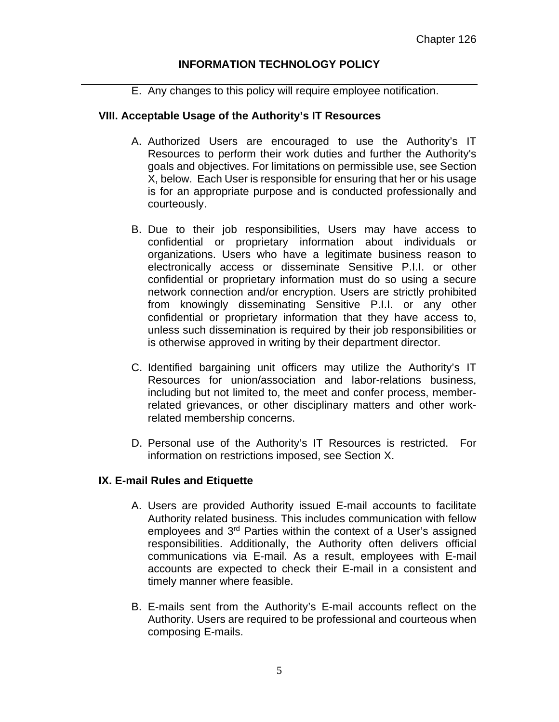E. Any changes to this policy will require employee notification.

#### **VIII. Acceptable Usage of the Authority's IT Resources**

- A. Authorized Users are encouraged to use the Authority's IT Resources to perform their work duties and further the Authority's goals and objectives. For limitations on permissible use, see Section X, below. Each User is responsible for ensuring that her or his usage is for an appropriate purpose and is conducted professionally and courteously.
- B. Due to their job responsibilities, Users may have access to confidential or proprietary information about individuals or organizations. Users who have a legitimate business reason to electronically access or disseminate Sensitive P.I.I. or other confidential or proprietary information must do so using a secure network connection and/or encryption. Users are strictly prohibited from knowingly disseminating Sensitive P.I.I. or any other confidential or proprietary information that they have access to, unless such dissemination is required by their job responsibilities or is otherwise approved in writing by their department director.
- C. Identified bargaining unit officers may utilize the Authority's IT Resources for union/association and labor-relations business, including but not limited to, the meet and confer process, memberrelated grievances, or other disciplinary matters and other workrelated membership concerns.
- D. Personal use of the Authority's IT Resources is restricted. For information on restrictions imposed, see Section X.

#### **IX. E-mail Rules and Etiquette**

- A. Users are provided Authority issued E-mail accounts to facilitate Authority related business. This includes communication with fellow employees and 3rd Parties within the context of a User's assigned responsibilities. Additionally, the Authority often delivers official communications via E-mail. As a result, employees with E-mail accounts are expected to check their E-mail in a consistent and timely manner where feasible.
- B. E-mails sent from the Authority's E-mail accounts reflect on the Authority. Users are required to be professional and courteous when composing E-mails.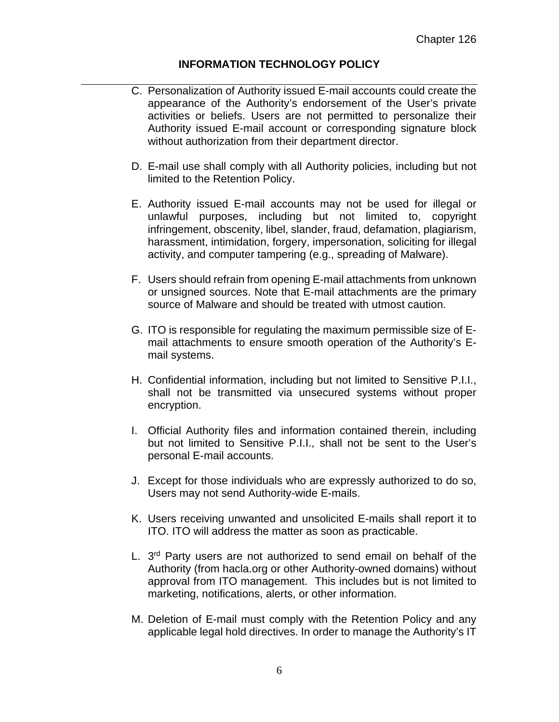- C. Personalization of Authority issued E-mail accounts could create the appearance of the Authority's endorsement of the User's private activities or beliefs. Users are not permitted to personalize their Authority issued E-mail account or corresponding signature block without authorization from their department director.
- D. E-mail use shall comply with all Authority policies, including but not limited to the Retention Policy.
- E. Authority issued E-mail accounts may not be used for illegal or unlawful purposes, including but not limited to, copyright infringement, obscenity, libel, slander, fraud, defamation, plagiarism, harassment, intimidation, forgery, impersonation, soliciting for illegal activity, and computer tampering (e.g., spreading of Malware).
- F. Users should refrain from opening E-mail attachments from unknown or unsigned sources. Note that E-mail attachments are the primary source of Malware and should be treated with utmost caution.
- G. ITO is responsible for regulating the maximum permissible size of Email attachments to ensure smooth operation of the Authority's Email systems.
- H. Confidential information, including but not limited to Sensitive P.I.I., shall not be transmitted via unsecured systems without proper encryption.
- I. Official Authority files and information contained therein, including but not limited to Sensitive P.I.I., shall not be sent to the User's personal E-mail accounts.
- J. Except for those individuals who are expressly authorized to do so, Users may not send Authority-wide E-mails.
- K. Users receiving unwanted and unsolicited E-mails shall report it to ITO. ITO will address the matter as soon as practicable.
- L. 3<sup>rd</sup> Party users are not authorized to send email on behalf of the Authority (from hacla.org or other Authority-owned domains) without approval from ITO management. This includes but is not limited to marketing, notifications, alerts, or other information.
- M. Deletion of E-mail must comply with the Retention Policy and any applicable legal hold directives. In order to manage the Authority's IT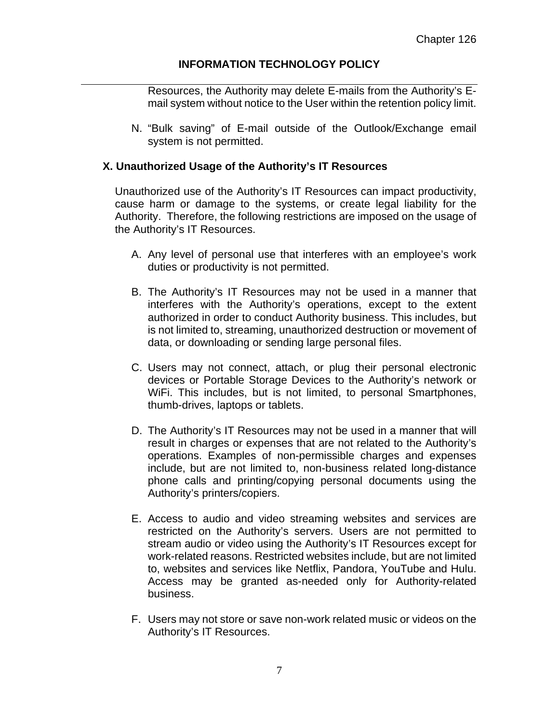Resources, the Authority may delete E-mails from the Authority's Email system without notice to the User within the retention policy limit.

N. "Bulk saving" of E-mail outside of the Outlook/Exchange email system is not permitted.

#### **X. Unauthorized Usage of the Authority's IT Resources**

Unauthorized use of the Authority's IT Resources can impact productivity, cause harm or damage to the systems, or create legal liability for the Authority. Therefore, the following restrictions are imposed on the usage of the Authority's IT Resources.

- A. Any level of personal use that interferes with an employee's work duties or productivity is not permitted.
- B. The Authority's IT Resources may not be used in a manner that interferes with the Authority's operations, except to the extent authorized in order to conduct Authority business. This includes, but is not limited to, streaming, unauthorized destruction or movement of data, or downloading or sending large personal files.
- C. Users may not connect, attach, or plug their personal electronic devices or Portable Storage Devices to the Authority's network or WiFi. This includes, but is not limited, to personal Smartphones, thumb-drives, laptops or tablets.
- D. The Authority's IT Resources may not be used in a manner that will result in charges or expenses that are not related to the Authority's operations. Examples of non-permissible charges and expenses include, but are not limited to, non-business related long-distance phone calls and printing/copying personal documents using the Authority's printers/copiers.
- E. Access to audio and video streaming websites and services are restricted on the Authority's servers. Users are not permitted to stream audio or video using the Authority's IT Resources except for work-related reasons. Restricted websites include, but are not limited to, websites and services like Netflix, Pandora, YouTube and Hulu. Access may be granted as-needed only for Authority-related business.
- F. Users may not store or save non-work related music or videos on the Authority's IT Resources.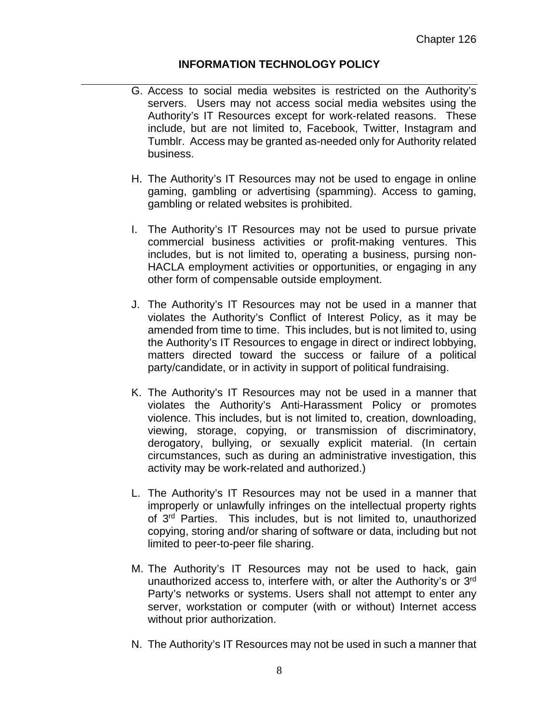- G. Access to social media websites is restricted on the Authority's servers. Users may not access social media websites using the Authority's IT Resources except for work-related reasons. These include, but are not limited to, Facebook, Twitter, Instagram and Tumblr. Access may be granted as-needed only for Authority related business.
- H. The Authority's IT Resources may not be used to engage in online gaming, gambling or advertising (spamming). Access to gaming, gambling or related websites is prohibited.
- I. The Authority's IT Resources may not be used to pursue private commercial business activities or profit-making ventures. This includes, but is not limited to, operating a business, pursing non-HACLA employment activities or opportunities, or engaging in any other form of compensable outside employment.
- J. The Authority's IT Resources may not be used in a manner that violates the Authority's Conflict of Interest Policy, as it may be amended from time to time. This includes, but is not limited to, using the Authority's IT Resources to engage in direct or indirect lobbying, matters directed toward the success or failure of a political party/candidate, or in activity in support of political fundraising.
- K. The Authority's IT Resources may not be used in a manner that violates the Authority's Anti-Harassment Policy or promotes violence. This includes, but is not limited to, creation, downloading, viewing, storage, copying, or transmission of discriminatory, derogatory, bullying, or sexually explicit material. (In certain circumstances, such as during an administrative investigation, this activity may be work-related and authorized.)
- L. The Authority's IT Resources may not be used in a manner that improperly or unlawfully infringes on the intellectual property rights of 3rd Parties. This includes, but is not limited to, unauthorized copying, storing and/or sharing of software or data, including but not limited to peer-to-peer file sharing.
- M. The Authority's IT Resources may not be used to hack, gain unauthorized access to, interfere with, or alter the Authority's or 3rd Party's networks or systems. Users shall not attempt to enter any server, workstation or computer (with or without) Internet access without prior authorization.
- N. The Authority's IT Resources may not be used in such a manner that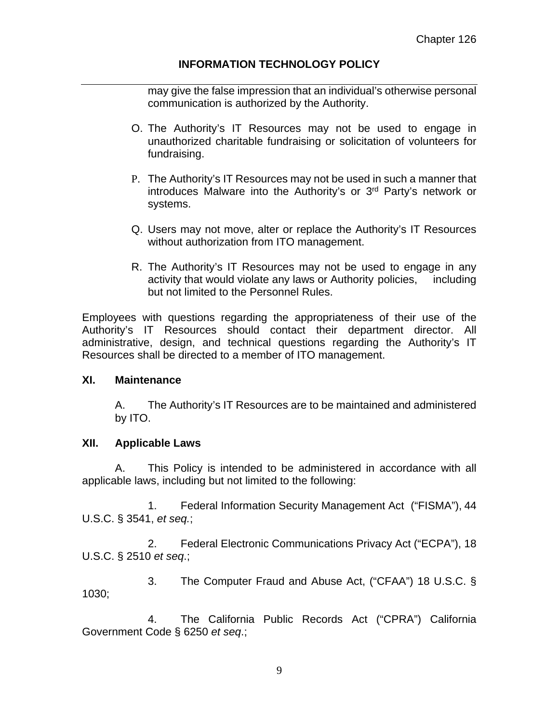may give the false impression that an individual's otherwise personal communication is authorized by the Authority.

- O. The Authority's IT Resources may not be used to engage in unauthorized charitable fundraising or solicitation of volunteers for fundraising.
- P. The Authority's IT Resources may not be used in such a manner that introduces Malware into the Authority's or 3rd Party's network or systems.
- Q. Users may not move, alter or replace the Authority's IT Resources without authorization from ITO management.
- R. The Authority's IT Resources may not be used to engage in any activity that would violate any laws or Authority policies, including but not limited to the Personnel Rules.

Employees with questions regarding the appropriateness of their use of the Authority's IT Resources should contact their department director. All administrative, design, and technical questions regarding the Authority's IT Resources shall be directed to a member of ITO management.

#### **XI. Maintenance**

A. The Authority's IT Resources are to be maintained and administered by ITO.

#### **XII. Applicable Laws**

 A. This Policy is intended to be administered in accordance with all applicable laws, including but not limited to the following:

 1. Federal Information Security Management Act ("FISMA"), 44 U.S.C. § 3541, *et seq.*;

 2. Federal Electronic Communications Privacy Act ("ECPA"), 18 U.S.C. § 2510 *et seq*.;

 3. The Computer Fraud and Abuse Act, ("CFAA") 18 U.S.C. § 1030;

 4. The California Public Records Act ("CPRA") California Government Code § 6250 *et seq*.;